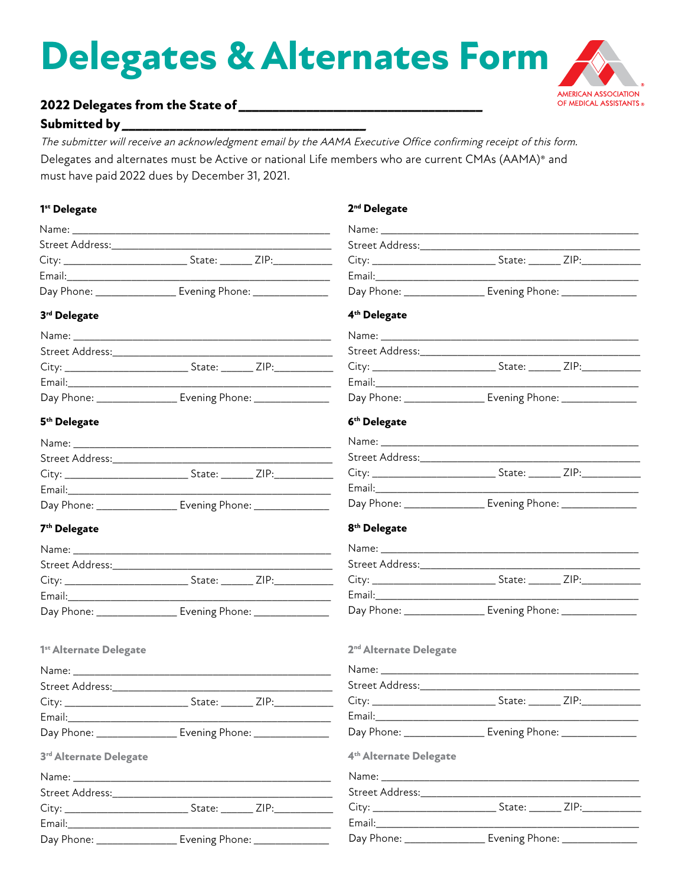# **Delegates & Alternates Form**



## 

#### Submitted by \_\_\_\_\_\_\_\_\_\_\_\_\_\_\_

The submitter will receive an acknowledgment email by the AAMA Executive Office confirming receipt of this form. Delegates and alternates must be Active or national Life members who are current CMAs (AAMA)<sup>®</sup> and must have paid 2022 dues by December 31, 2021.

| 1 <sup>st</sup> Delegate                                            |        |                                                               | 2 <sup>nd</sup> Delegate                                                                                                                                                                                                       |        |      |
|---------------------------------------------------------------------|--------|---------------------------------------------------------------|--------------------------------------------------------------------------------------------------------------------------------------------------------------------------------------------------------------------------------|--------|------|
|                                                                     |        |                                                               |                                                                                                                                                                                                                                |        |      |
|                                                                     |        |                                                               |                                                                                                                                                                                                                                |        |      |
|                                                                     |        |                                                               |                                                                                                                                                                                                                                |        |      |
|                                                                     |        |                                                               |                                                                                                                                                                                                                                |        |      |
| Day Phone: ___________________ Evening Phone: ________________      |        | Day Phone: ___________________ Evening Phone: _______________ |                                                                                                                                                                                                                                |        |      |
| 3rd Delegate                                                        |        |                                                               | 4 <sup>th</sup> Delegate                                                                                                                                                                                                       |        |      |
|                                                                     |        |                                                               |                                                                                                                                                                                                                                |        |      |
|                                                                     |        |                                                               |                                                                                                                                                                                                                                |        |      |
|                                                                     |        |                                                               | City: ___________________________________State: _________ ZIP:__________________                                                                                                                                               |        |      |
|                                                                     |        |                                                               |                                                                                                                                                                                                                                |        |      |
| Day Phone: _____________________ Evening Phone: ___________________ |        | Day Phone: __________________ Evening Phone: ______________   |                                                                                                                                                                                                                                |        |      |
| 5 <sup>th</sup> Delegate                                            |        |                                                               | 6 <sup>th</sup> Delegate                                                                                                                                                                                                       |        |      |
|                                                                     |        |                                                               |                                                                                                                                                                                                                                |        |      |
|                                                                     |        |                                                               |                                                                                                                                                                                                                                |        |      |
|                                                                     |        |                                                               |                                                                                                                                                                                                                                |        |      |
|                                                                     |        |                                                               |                                                                                                                                                                                                                                |        |      |
| Day Phone: ___________________ Evening Phone: ________________      |        |                                                               | Day Phone: _________________ Evening Phone: ______________                                                                                                                                                                     |        |      |
| 7 <sup>th</sup> Delegate                                            |        |                                                               | 8 <sup>th</sup> Delegate                                                                                                                                                                                                       |        |      |
|                                                                     |        |                                                               |                                                                                                                                                                                                                                |        |      |
|                                                                     |        |                                                               |                                                                                                                                                                                                                                |        |      |
|                                                                     |        |                                                               |                                                                                                                                                                                                                                |        |      |
|                                                                     |        |                                                               |                                                                                                                                                                                                                                |        |      |
| Day Phone: __________________ Evening Phone: ______________         |        |                                                               | Day Phone: _________________ Evening Phone: ____________                                                                                                                                                                       |        |      |
| 1 <sup>st</sup> Alternate Delegate                                  |        |                                                               | 2 <sup>nd</sup> Alternate Delegate                                                                                                                                                                                             |        |      |
|                                                                     |        |                                                               | Name: Name and the state of the state of the state of the state of the state of the state of the state of the state of the state of the state of the state of the state of the state of the state of the state of the state of |        |      |
|                                                                     |        |                                                               |                                                                                                                                                                                                                                |        |      |
|                                                                     | State: | ZIP:<br>$\sim$                                                |                                                                                                                                                                                                                                | State: | ZIP: |
|                                                                     |        |                                                               |                                                                                                                                                                                                                                |        |      |
| Day Phone: __________________ Evening Phone: ________________       |        |                                                               | Day Phone: _________________ Evening Phone: _______________                                                                                                                                                                    |        |      |
| 3 <sup>rd</sup> Alternate Delegate                                  |        |                                                               | 4 <sup>th</sup> Alternate Delegate                                                                                                                                                                                             |        |      |
|                                                                     |        |                                                               |                                                                                                                                                                                                                                |        |      |
|                                                                     |        |                                                               |                                                                                                                                                                                                                                |        |      |
|                                                                     |        |                                                               |                                                                                                                                                                                                                                |        |      |
|                                                                     |        |                                                               |                                                                                                                                                                                                                                |        |      |
| Day Phone: _________________ Evening Phone: _______________         |        |                                                               | Day Phone: __________________ Evening Phone: _____________                                                                                                                                                                     |        |      |